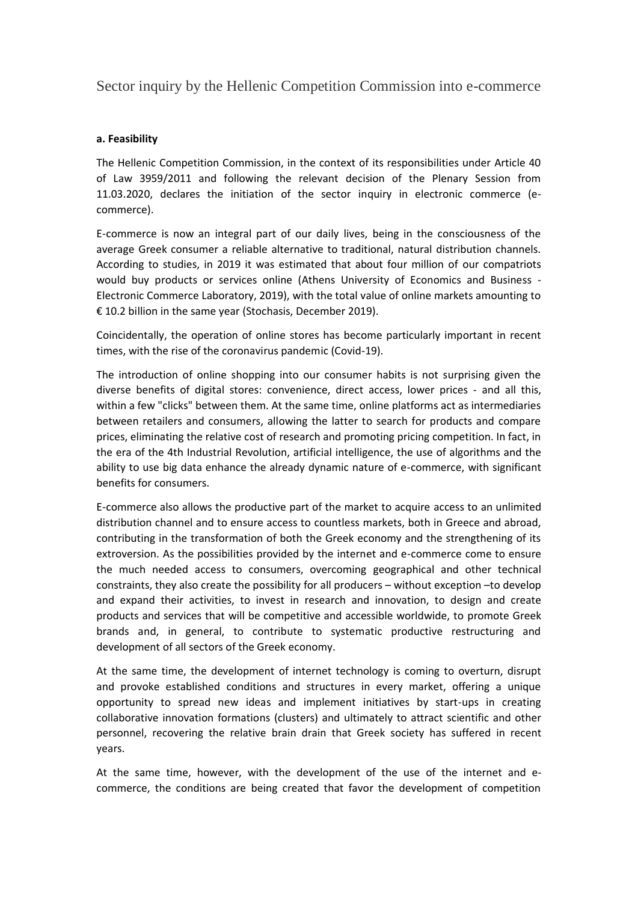Sector inquiry by the Hellenic Competition Commission into e-commerce

## **a. Feasibility**

The Hellenic Competition Commission, in the context of its responsibilities under Article 40 of Law 3959/2011 and following the relevant decision of the Plenary Session from 11.03.2020, declares the initiation of the sector inquiry in electronic commerce (ecommerce).

E-commerce is now an integral part of our daily lives, being in the consciousness of the average Greek consumer a reliable alternative to traditional, natural distribution channels. According to studies, in 2019 it was estimated that about four million of our compatriots would buy products or services online (Athens University of Economics and Business - Electronic Commerce Laboratory, 2019), with the total value of online markets amounting to € 10.2 billion in the same year (Stochasis, December 2019).

Coincidentally, the operation of online stores has become particularly important in recent times, with the rise of the coronavirus pandemic (Covid-19).

The introduction of online shopping into our consumer habits is not surprising given the diverse benefits of digital stores: convenience, direct access, lower prices - and all this, within a few "clicks" between them. At the same time, online platforms act as intermediaries between retailers and consumers, allowing the latter to search for products and compare prices, eliminating the relative cost of research and promoting pricing competition. In fact, in the era of the 4th Industrial Revolution, artificial intelligence, the use of algorithms and the ability to use big data enhance the already dynamic nature of e-commerce, with significant benefits for consumers.

Ε-commerce also allows the productive part of the market to acquire access to an unlimited distribution channel and to ensure access to countless markets, both in Greece and abroad, contributing in the transformation of both the Greek economy and the strengthening of its extroversion. As the possibilities provided by the internet and e-commerce come to ensure the much needed access to consumers, overcoming geographical and other technical constraints, they also create the possibility for all producers – without exception –to develop and expand their activities, to invest in research and innovation, to design and create products and services that will be competitive and accessible worldwide, to promote Greek brands and, in general, to contribute to systematic productive restructuring and development of all sectors of the Greek economy.

At the same time, the development of internet technology is coming to overturn, disrupt and provoke established conditions and structures in every market, offering a unique opportunity to spread new ideas and implement initiatives by start-ups in creating collaborative innovation formations (clusters) and ultimately to attract scientific and other personnel, recovering the relative brain drain that Greek society has suffered in recent years.

At the same time, however, with the development of the use of the internet and ecommerce, the conditions are being created that favor the development of competition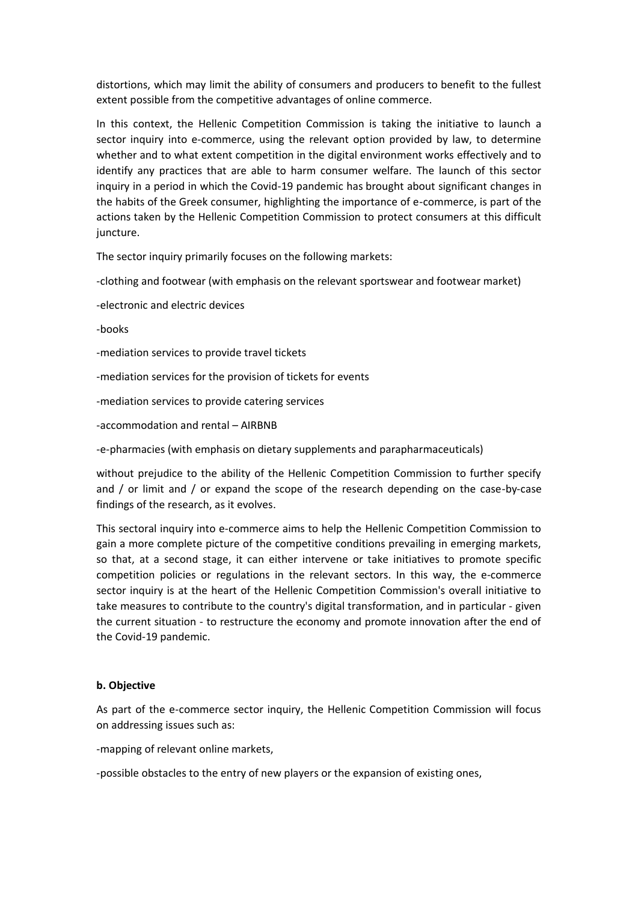distortions, which may limit the ability of consumers and producers to benefit to the fullest extent possible from the competitive advantages of online commerce.

In this context, the Hellenic Competition Commission is taking the initiative to launch a sector inquiry into e-commerce, using the relevant option provided by law, to determine whether and to what extent competition in the digital environment works effectively and to identify any practices that are able to harm consumer welfare. The launch of this sector inquiry in a period in which the Covid-19 pandemic has brought about significant changes in the habits of the Greek consumer, highlighting the importance of e-commerce, is part of the actions taken by the Hellenic Competition Commission to protect consumers at this difficult juncture.

The sector inquiry primarily focuses on the following markets:

-clothing and footwear (with emphasis on the relevant sportswear and footwear market)

- -electronic and electric devices
- -books

-mediation services to provide travel tickets

-mediation services for the provision of tickets for events

- -mediation services to provide catering services
- -accommodation and rental AIRBNB

-e-pharmacies (with emphasis on dietary supplements and parapharmaceuticals)

without prejudice to the ability of the Hellenic Competition Commission to further specify and / or limit and / or expand the scope of the research depending on the case-by-case findings of the research, as it evolves.

This sectoral inquiry into e-commerce aims to help the Hellenic Competition Commission to gain a more complete picture of the competitive conditions prevailing in emerging markets, so that, at a second stage, it can either intervene or take initiatives to promote specific competition policies or regulations in the relevant sectors. In this way, the e-commerce sector inquiry is at the heart of the Hellenic Competition Commission's overall initiative to take measures to contribute to the country's digital transformation, and in particular - given the current situation - to restructure the economy and promote innovation after the end of the Covid-19 pandemic.

## **b. Objective**

As part of the e-commerce sector inquiry, the Hellenic Competition Commission will focus on addressing issues such as:

-mapping of relevant online markets,

-possible obstacles to the entry of new players or the expansion of existing ones,